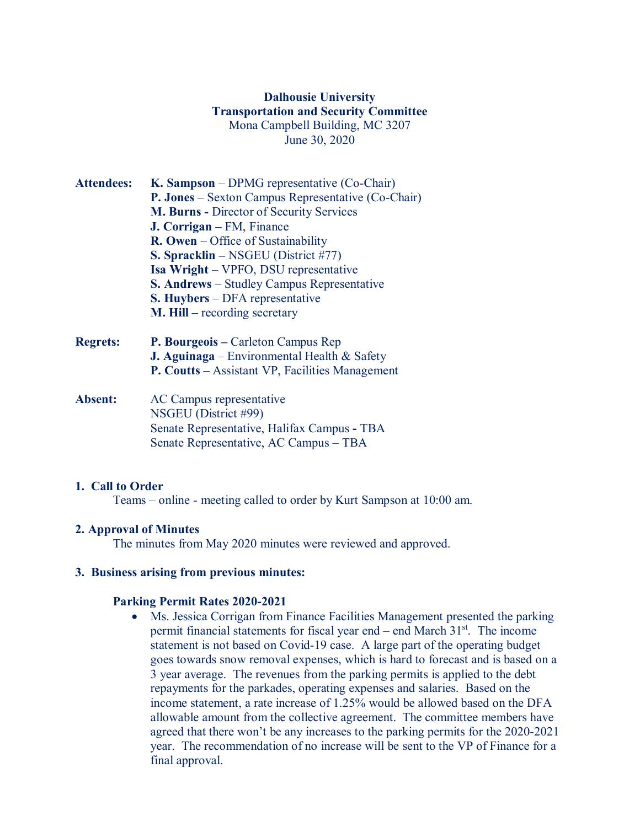# **Dalhousie University Transportation and Security Committee** Mona Campbell Building, MC 3207 June 30, 2020

- **Attendees: K. Sampson** DPMG representative (Co-Chair) **P. Jones** – Sexton Campus Representative (Co-Chair) **M. Burns -** Director of Security Services **J. Corrigan –** FM, Finance **R. Owen** – Office of Sustainability **S. Spracklin –** NSGEU (District #77) **Isa Wright** – VPFO, DSU representative **S. Andrews** – Studley Campus Representative **S. Huybers** – DFA representative **M. Hill –** recording secretary
- **Regrets: P. Bourgeois –** Carleton Campus Rep **J. Aguinaga** – Environmental Health & Safety **P. Coutts –** Assistant VP, Facilities Management
- **Absent:** AC Campus representative NSGEU (District #99) Senate Representative, Halifax Campus **-** TBA Senate Representative, AC Campus – TBA

### **1. Call to Order**

Teams – online - meeting called to order by Kurt Sampson at 10:00 am.

## **2. Approval of Minutes**

The minutes from May 2020 minutes were reviewed and approved.

## **3. Business arising from previous minutes:**

### **Parking Permit Rates 2020-2021**

• Ms. Jessica Corrigan from Finance Facilities Management presented the parking permit financial statements for fiscal year end – end March  $31<sup>st</sup>$ . The income statement is not based on Covid-19 case. A large part of the operating budget goes towards snow removal expenses, which is hard to forecast and is based on a 3 year average. The revenues from the parking permits is applied to the debt repayments for the parkades, operating expenses and salaries. Based on the income statement, a rate increase of 1.25% would be allowed based on the DFA allowable amount from the collective agreement. The committee members have agreed that there won't be any increases to the parking permits for the 2020-2021 year. The recommendation of no increase will be sent to the VP of Finance for a final approval.